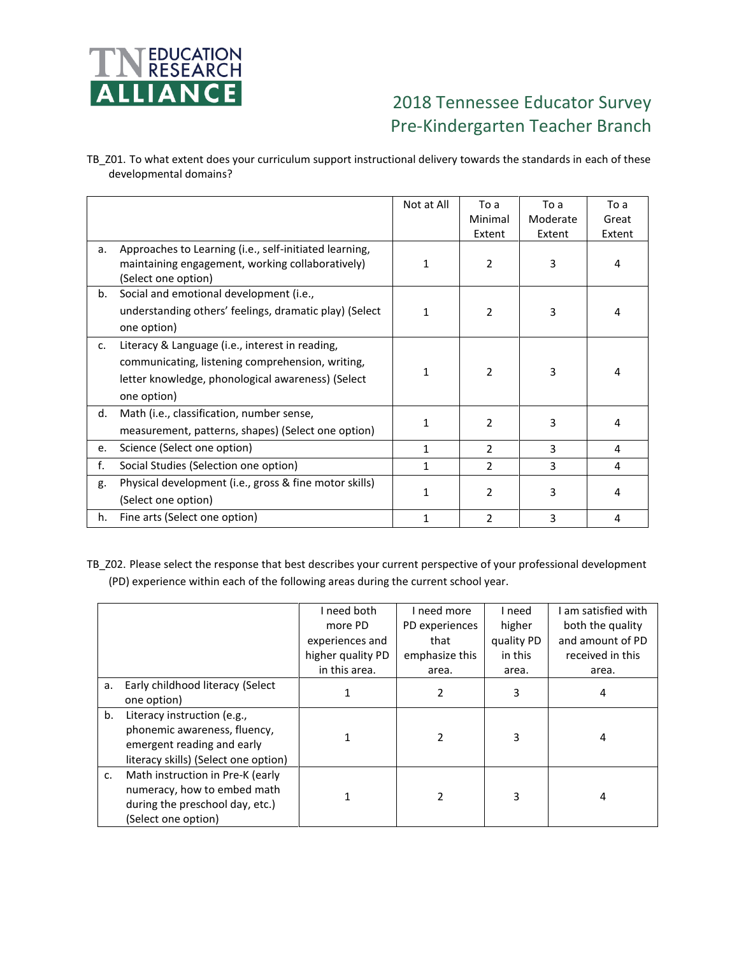

## 2018 Tennessee Educator Survey Pre-Kindergarten Teacher Branch

TB\_Z01. To what extent does your curriculum support instructional delivery towards the standards in each of these developmental domains?

|    |                                                                                                                                                                         | Not at All | To a<br>Minimal<br>Extent | To a<br>Moderate<br>Extent | To a<br>Great<br>Extent |
|----|-------------------------------------------------------------------------------------------------------------------------------------------------------------------------|------------|---------------------------|----------------------------|-------------------------|
| a. | Approaches to Learning (i.e., self-initiated learning,<br>maintaining engagement, working collaboratively)<br>(Select one option)                                       | 1          | $\overline{2}$            | 3                          | 4                       |
| b. | Social and emotional development (i.e.,<br>understanding others' feelings, dramatic play) (Select<br>one option)                                                        | 1          | $\mathcal{P}$             | 3                          | 4                       |
| c. | Literacy & Language (i.e., interest in reading,<br>communicating, listening comprehension, writing,<br>letter knowledge, phonological awareness) (Select<br>one option) | 1          | $\mathcal{P}$             | 3                          | 4                       |
| d. | Math (i.e., classification, number sense,<br>measurement, patterns, shapes) (Select one option)                                                                         | 1          | $\overline{2}$            | 3                          | 4                       |
| e. | Science (Select one option)                                                                                                                                             | 1          | 2                         | 3                          | 4                       |
| f. | Social Studies (Selection one option)                                                                                                                                   | 1          | $\overline{2}$            | 3                          | 4                       |
| g. | Physical development (i.e., gross & fine motor skills)<br>(Select one option)                                                                                           | 1          | $\overline{2}$            | 3                          | 4                       |
| h. | Fine arts (Select one option)                                                                                                                                           | 1          | 2                         | 3                          | 4                       |

TB\_Z02. Please select the response that best describes your current perspective of your professional development (PD) experience within each of the following areas during the current school year.

|               |                                                                | I need both       | I need more    | I need     | I am satisfied with |  |
|---------------|----------------------------------------------------------------|-------------------|----------------|------------|---------------------|--|
|               |                                                                | more PD           | PD experiences | higher     | both the quality    |  |
|               |                                                                | experiences and   | that           | quality PD | and amount of PD    |  |
|               |                                                                | higher quality PD | emphasize this | in this    | received in this    |  |
|               |                                                                | in this area.     | area.          | area.      | area.               |  |
| a.            | Early childhood literacy (Select<br>one option)                |                   | 2              | 3          | 4                   |  |
| b.            | Literacy instruction (e.g.,                                    |                   |                |            |                     |  |
|               | phonemic awareness, fluency,<br>emergent reading and early     |                   |                | 3          | 4                   |  |
|               | literacy skills) (Select one option)                           |                   |                |            |                     |  |
| $C_{\bullet}$ | Math instruction in Pre-K (early                               |                   |                |            |                     |  |
|               | numeracy, how to embed math<br>during the preschool day, etc.) |                   |                | 3          | 4                   |  |
|               | (Select one option)                                            |                   |                |            |                     |  |